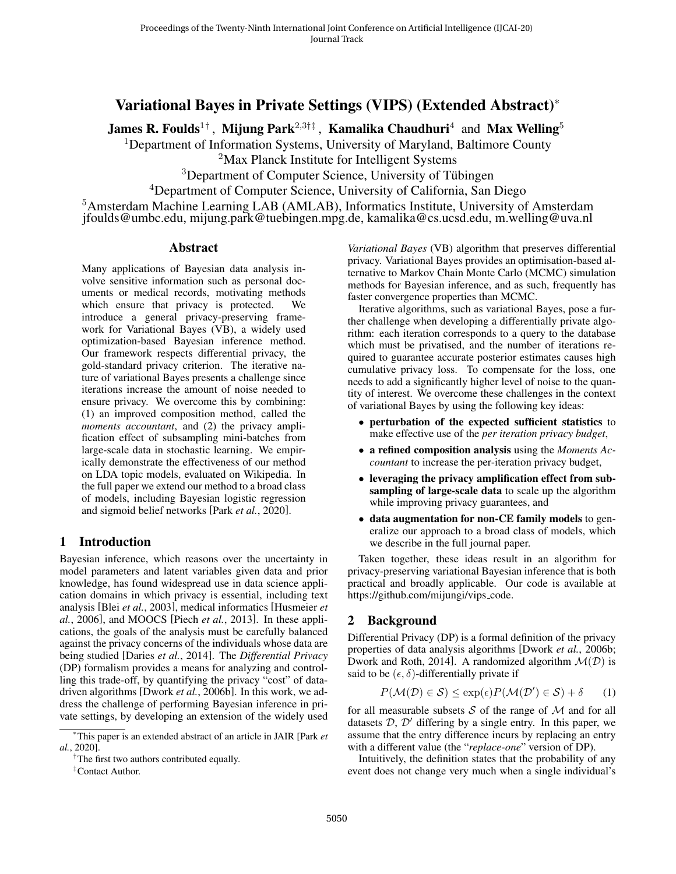# Variational Bayes in Private Settings (VIPS) (Extended Abstract)<sup>∗</sup>

James R. Foulds<sup>1†</sup> , Mijung Park<sup>2,3†‡</sup> , Kamalika Chaudhuri<sup>4</sup> and Max Welling<sup>5</sup>

<sup>1</sup>Department of Information Systems, University of Maryland, Baltimore County

<sup>2</sup>Max Planck Institute for Intelligent Systems

<sup>3</sup>Department of Computer Science, University of Tübingen

<sup>4</sup>Department of Computer Science, University of California, San Diego

<sup>5</sup>Amsterdam Machine Learning LAB (AMLAB), Informatics Institute, University of Amsterdam jfoulds@umbc.edu, mijung.park@tuebingen.mpg.de, kamalika@cs.ucsd.edu, m.welling@uva.nl

### Abstract

Many applications of Bayesian data analysis involve sensitive information such as personal documents or medical records, motivating methods which ensure that privacy is protected. We introduce a general privacy-preserving framework for Variational Bayes (VB), a widely used optimization-based Bayesian inference method. Our framework respects differential privacy, the gold-standard privacy criterion. The iterative nature of variational Bayes presents a challenge since iterations increase the amount of noise needed to ensure privacy. We overcome this by combining: (1) an improved composition method, called the *moments accountant*, and (2) the privacy amplification effect of subsampling mini-batches from large-scale data in stochastic learning. We empirically demonstrate the effectiveness of our method on LDA topic models, evaluated on Wikipedia. In the full paper we extend our method to a broad class of models, including Bayesian logistic regression and sigmoid belief networks [Park *et al.*[, 2020\]](#page-4-0).

## 1 Introduction

Bayesian inference, which reasons over the uncertainty in model parameters and latent variables given data and prior knowledge, has found widespread use in data science application domains in which privacy is essential, including text analysis [Blei *et al.*[, 2003\]](#page-4-1), medical informatics [\[Husmeier](#page-4-2) *et al.*[, 2006\]](#page-4-2), and MOOCS [Piech *et al.*[, 2013\]](#page-4-3). In these applications, the goals of the analysis must be carefully balanced against the privacy concerns of the individuals whose data are being studied [\[Daries](#page-4-4) *et al.*, 2014]. The *Differential Privacy* (DP) formalism provides a means for analyzing and controlling this trade-off, by quantifying the privacy "cost" of datadriven algorithms [Dwork *et al.*[, 2006b\]](#page-4-5). In this work, we address the challenge of performing Bayesian inference in private settings, by developing an extension of the widely used

*Variational Bayes* (VB) algorithm that preserves differential privacy. Variational Bayes provides an optimisation-based alternative to Markov Chain Monte Carlo (MCMC) simulation methods for Bayesian inference, and as such, frequently has faster convergence properties than MCMC.

Iterative algorithms, such as variational Bayes, pose a further challenge when developing a differentially private algorithm: each iteration corresponds to a query to the database which must be privatised, and the number of iterations required to guarantee accurate posterior estimates causes high cumulative privacy loss. To compensate for the loss, one needs to add a significantly higher level of noise to the quantity of interest. We overcome these challenges in the context of variational Bayes by using the following key ideas:

- perturbation of the expected sufficient statistics to make effective use of the *per iteration privacy budget*,
- a refined composition analysis using the *Moments Accountant* to increase the per-iteration privacy budget,
- leveraging the privacy amplification effect from subsampling of large-scale data to scale up the algorithm while improving privacy guarantees, and
- data augmentation for non-CE family models to generalize our approach to a broad class of models, which we describe in the full journal paper.

Taken together, these ideas result in an algorithm for privacy-preserving variational Bayesian inference that is both practical and broadly applicable. Our code is available at [https://github.com/mijungi/vips](https://github.com/mijungi/vips_code)\_code.

### 2 Background

Differential Privacy (DP) is a formal definition of the privacy properties of data analysis algorithms [\[Dwork](#page-4-5) *et al.*, 2006b; [Dwork and Roth, 2014\]](#page-4-6). A randomized algorithm  $\mathcal{M}(D)$  is said to be  $(\epsilon, \delta)$ -differentially private if

$$
P(\mathcal{M}(\mathcal{D}) \in \mathcal{S}) \le \exp(\epsilon) P(\mathcal{M}(\mathcal{D}') \in \mathcal{S}) + \delta \qquad (1)
$$

for all measurable subsets  $S$  of the range of  $M$  and for all datasets  $D, D'$  differing by a single entry. In this paper, we assume that the entry difference incurs by replacing an entry with a different value (the "*replace-one*" version of DP).

Intuitively, the definition states that the probability of any event does not change very much when a single individual's

<sup>∗</sup>This paper is an extended abstract of an article in JAIR [Park *et al.*, 2020].

<sup>&</sup>lt;sup>†</sup>The first two authors contributed equally.

<sup>‡</sup>Contact Author.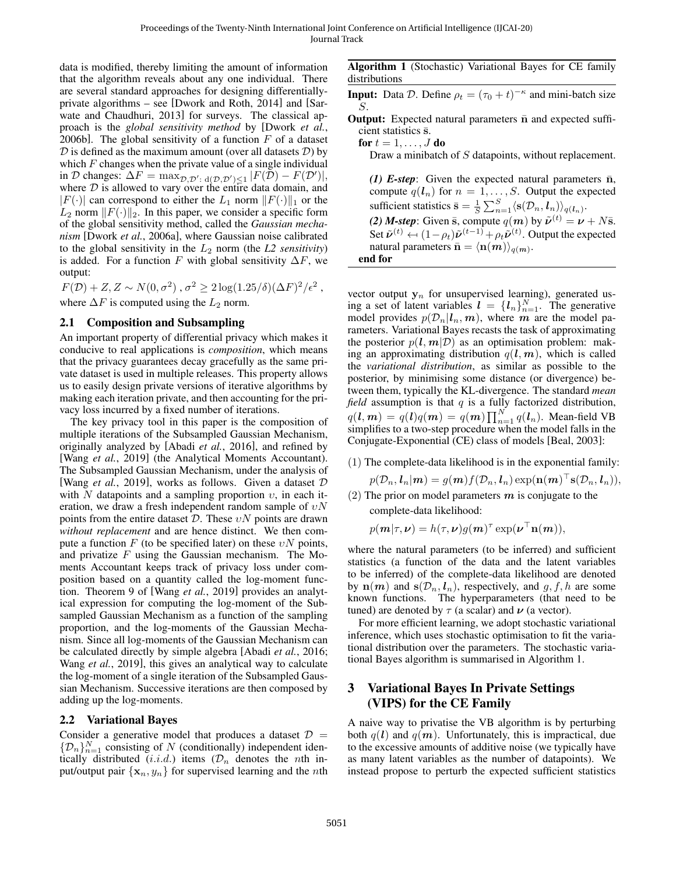data is modified, thereby limiting the amount of information that the algorithm reveals about any one individual. There are several standard approaches for designing differentiallyprivate algorithms – see [\[Dwork and Roth, 2014\]](#page-4-6) and [\[Sar](#page-4-7)[wate and Chaudhuri, 2013\]](#page-4-7) for surveys. The classical approach is the *global sensitivity method* by [\[Dwork](#page-4-5) *et al.*, [2006b\]](#page-4-5). The global sensitivity of a function  $F$  of a dataset  $D$  is defined as the maximum amount (over all datasets  $D$ ) by which  $F$  changes when the private value of a single individual in D changes:  $\Delta F = \max_{\mathcal{D}, \mathcal{D}': d(\mathcal{D}, \mathcal{D}') \leq 1} |F(\mathcal{D}) - F(\mathcal{D}')|,$ where  $D$  is allowed to vary over the entire data domain, and  $|F(\cdot)|$  can correspond to either the  $L_1$  norm  $||F(\cdot)||_1$  or the  $L_2$  norm  $||F(\cdot)||_2$ . In this paper, we consider a specific form of the global sensitivity method, called the *Gaussian mechanism* [Dwork *et al.*[, 2006a\]](#page-4-8), where Gaussian noise calibrated to the global sensitivity in the L<sup>2</sup> norm (the *L2 sensitivity*) is added. For a function F with global sensitivity  $\Delta F$ , we output:

 $F(\mathcal{D})+Z, Z \sim N(0, \sigma^2), \sigma^2 \geq 2\log(1.25/\delta)(\Delta F)^2/\epsilon^2$ , where  $\Delta F$  is computed using the  $L_2$  norm.

### 2.1 Composition and Subsampling

An important property of differential privacy which makes it conducive to real applications is *composition*, which means that the privacy guarantees decay gracefully as the same private dataset is used in multiple releases. This property allows us to easily design private versions of iterative algorithms by making each iteration private, and then accounting for the privacy loss incurred by a fixed number of iterations.

The key privacy tool in this paper is the composition of multiple iterations of the Subsampled Gaussian Mechanism, originally analyzed by [Abadi *et al.*[, 2016\]](#page-4-9), and refined by [Wang *et al.*[, 2019\]](#page-4-10) (the Analytical Moments Accountant). The Subsampled Gaussian Mechanism, under the analysis of [Wang *et al.*[, 2019\]](#page-4-10), works as follows. Given a dataset D with N datapoints and a sampling proportion  $v$ , in each iteration, we draw a fresh independent random sample of  $vN$ points from the entire dataset  $D$ . These  $vN$  points are drawn *without replacement* and are hence distinct. We then compute a function F (to be specified later) on these  $vN$  points, and privatize  $F$  using the Gaussian mechanism. The Moments Accountant keeps track of privacy loss under composition based on a quantity called the log-moment function. Theorem 9 of [Wang *et al.*[, 2019\]](#page-4-10) provides an analytical expression for computing the log-moment of the Subsampled Gaussian Mechanism as a function of the sampling proportion, and the log-moments of the Gaussian Mechanism. Since all log-moments of the Gaussian Mechanism can be calculated directly by simple algebra [\[Abadi](#page-4-9) *et al.*, 2016; Wang *et al.*[, 2019\]](#page-4-10), this gives an analytical way to calculate the log-moment of a single iteration of the Subsampled Gaussian Mechanism. Successive iterations are then composed by adding up the log-moments.

### 2.2 Variational Bayes

Consider a generative model that produces a dataset  $\mathcal{D}$  =  ${\{\mathcal{D}_n\}}_{n=1}^N$  consisting of N (conditionally) independent identically distributed  $(i.i.d.)$  items  $(\mathcal{D}_n$  denotes the nth input/output pair  $\{x_n, y_n\}$  for supervised learning and the *n*th <span id="page-1-0"></span>Algorithm 1 (Stochastic) Variational Bayes for CE family distributions

**Input:** Data D. Define  $\rho_t = (\tau_0 + t)^{-\kappa}$  and mini-batch size S.

**Output:** Expected natural parameters  $\bar{n}$  and expected sufficient statistics  $\bar{s}$ .

for  $t = 1, \ldots, J$  do

Draw a minibatch of S datapoints, without replacement.

*(1) E-step*: Given the expected natural parameters  $\bar{n}$ , compute  $q(\boldsymbol{l}_n)$  for  $n = 1, \ldots, S$ . Output the expected sufficient statistics  $\bar{\mathbf{s}} = \frac{1}{S} \sum_{n=1}^{S} \langle \mathbf{s}(\mathcal{D}_n, \boldsymbol{l}_n) \rangle_{q(\boldsymbol{l}_n)}$ . *(2) M-step*: Given  $\bar{s}$ , compute  $q(m)$  by  $\tilde{\nu}^{(t)} = \nu + N\bar{s}$ . Set  $\tilde{\nu}^{(t)} \leftarrow (1 - \rho_t) \tilde{\nu}^{(t-1)} + \rho_t \tilde{\nu}^{(t)}$ . Output the expected natural parameters  $\bar{\mathbf{n}} - \langle \mathbf{n}(\mathbf{m}) \rangle$ natural parameters  $\bar{\mathbf{n}} = \langle \mathbf{n}(\bm{m}) \rangle_{q(\bm{m})}.$ end for

vector output  $y_n$  for unsupervised learning), generated using a set of latent variables  $\mathbf{l} = \{l_n\}_{n=1}^N$ . The generative model provides  $p(\mathcal{D}_n | l_n, m)$ , where m are the model parameters. Variational Bayes recasts the task of approximating the posterior  $p(l, m | \mathcal{D})$  as an optimisation problem: making an approximating distribution  $q(l, m)$ , which is called the *variational distribution*, as similar as possible to the posterior, by minimising some distance (or divergence) between them, typically the KL-divergence. The standard *mean*  $field$  assumption is that  $q$  is a fully factorized distribution,  $q(\boldsymbol{l},\boldsymbol{m}) = q(\boldsymbol{l})q(\boldsymbol{m}) = q(\boldsymbol{m})\prod_{n=1}^N q(\boldsymbol{l}_n).$  Mean-field VB simplifies to a two-step procedure when the model falls in the Conjugate-Exponential (CE) class of models [\[Beal, 2003\]](#page-4-11):

(1) The complete-data likelihood is in the exponential family:

 $p(\mathcal{D}_n, \boldsymbol{l}_n | \boldsymbol{m}) = g(\boldsymbol{m}) f(\mathcal{D}_n, \boldsymbol{l}_n) \exp(\mathbf{n}(\boldsymbol{m})^\top \mathbf{s}(\mathcal{D}_n, \boldsymbol{l}_n)),$ 

(2) The prior on model parameters  $m$  is conjugate to the complete-data likelihood:

$$
p(\mathbf{m}|\tau,\boldsymbol{\nu}) = h(\tau,\boldsymbol{\nu})g(\mathbf{m})^{\tau}\exp(\boldsymbol{\nu}^{\top}\mathbf{n}(\mathbf{m})),
$$

where the natural parameters (to be inferred) and sufficient statistics (a function of the data and the latent variables to be inferred) of the complete-data likelihood are denoted by  $\mathbf{n}(m)$  and  $\mathbf{s}(\mathcal{D}_n, \mathbf{l}_n)$ , respectively, and  $g, f, h$  are some known functions. The hyperparameters (that need to be tuned) are denoted by  $\tau$  (a scalar) and  $\nu$  (a vector).

For more efficient learning, we adopt stochastic variational inference, which uses stochastic optimisation to fit the variational distribution over the parameters. The stochastic variational Bayes algorithm is summarised in Algorithm [1.](#page-1-0)

# 3 Variational Bayes In Private Settings (VIPS) for the CE Family

A naive way to privatise the VB algorithm is by perturbing both  $q(l)$  and  $q(m)$ . Unfortunately, this is impractical, due to the excessive amounts of additive noise (we typically have as many latent variables as the number of datapoints). We instead propose to perturb the expected sufficient statistics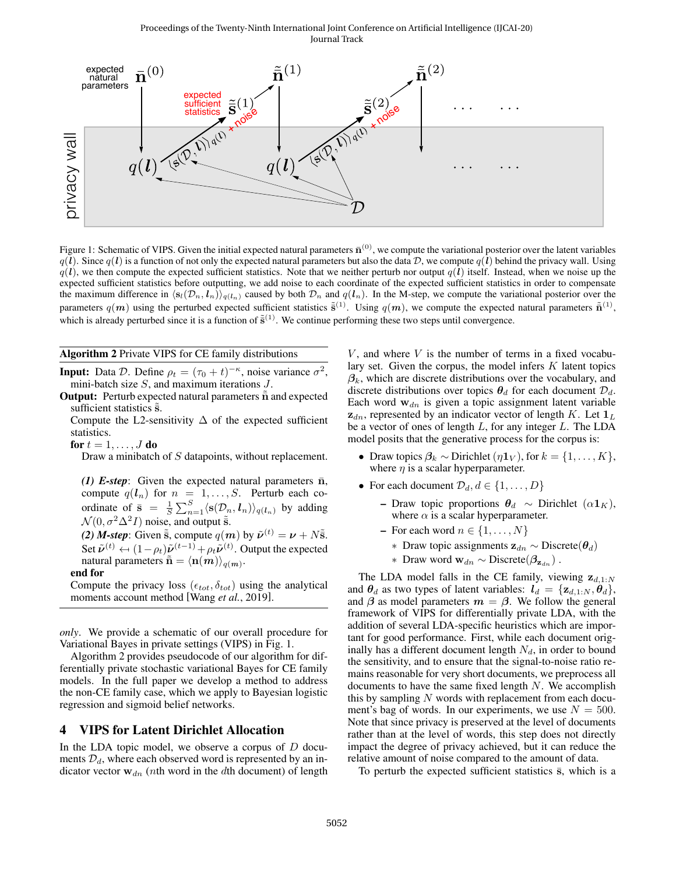#### Proceedings of the Twenty-Ninth International Joint Conference on Artificial Intelligence (IJCAI-20) Journal Track

<span id="page-2-0"></span>

Figure 1: Schematic of VIPS. Given the initial expected natural parameters  $\bar{n}^{(0)}$ , we compute the variational posterior over the latent variables  $q(\vec{l})$ . Since  $q(\vec{l})$  is a function of not only the expected natural parameters but also the data D, we compute  $q(\vec{l})$  behind the privacy wall. Using  $q(l)$ , we then compute the expected sufficient statistics. Note that we neither perturb nor output  $q(l)$  itself. Instead, when we noise up the expected sufficient statistics before outputting, we add noise to each coordinate of the expected sufficient statistics in order to compensate the maximum difference in  $\langle s_l(\mathcal{D}_n, l_n)\rangle_{q(l_n)}$  caused by both  $\mathcal{D}_n$  and  $q(l_n)$ . In the M-step, we compute the variational posterior over the parameters  $q(m)$  using the perturbed expected sufficient statistics  $\tilde{s}^{(1)}$ . Using  $q(m)$ , we compute the expected natural parameters  $\tilde{n}^{(1)}$ , which is already perturbed since it is a function of  $\tilde{s}^{(1)}$ . We continue performing these two steps until convergence.

#### <span id="page-2-1"></span>Algorithm 2 Private VIPS for CE family distributions

**Input:** Data D. Define  $\rho_t = (\tau_0 + t)^{-\kappa}$ , noise variance  $\sigma^2$ , mini-batch size  $S$ , and maximum iterations  $J$ .

**Output:** Perturb expected natural parameters  $\tilde{\mathbf{n}}$  and expected sufficient statistics  $\tilde{s}$ .

Compute the L2-sensitivity  $\Delta$  of the expected sufficient statistics.

for  $t = 1, \ldots, J$  do

Draw a minibatch of S datapoints, without replacement.

*(1) E-step*: Given the expected natural parameters  $\bar{n}$ , compute  $q(\mathbf{l}_n)$  for  $n = 1, \ldots, S$ . Perturb each coordinate of  $\bar{s} = \frac{1}{S} \sum_{n=1}^{S} \langle s(\mathcal{D}_n, \boldsymbol{l}_n) \rangle_{q(\boldsymbol{l}_n)}$  by adding  $\mathcal{N}(0, \sigma^2 \Delta^2 I)$  noise, and output  $\tilde{s}$ .

*(2) M-step*: Given  $\tilde{\tilde{s}}$ , compute  $q(m)$  by  $\tilde{\nu}^{(t)} = \nu + N\tilde{\tilde{s}}$ . Set  $\tilde{\nu}^{(t)} \leftarrow (1 - \rho_t) \tilde{\nu}^{(t-1)} + \rho_t \tilde{\nu}^{(t)}$ . Output the expected natural parameters  $\tilde{\mathbf{n}} - \langle \mathbf{n}(\mathbf{m}) \rangle$ natural parameters  $\tilde{\bar{\mathbf{n}}} = \langle \mathbf{n}(\bm{m}) \rangle_{q(\bm{m})}.$ 

#### end for

Compute the privacy loss  $(\epsilon_{tot}, \delta_{tot})$  using the analytical moments account method [Wang *et al.*[, 2019\]](#page-4-10).

*only*. We provide a schematic of our overall procedure for Variational Bayes in private settings (VIPS) in Fig. [1.](#page-2-0)

Algorithm [2](#page-2-1) provides pseudocode of our algorithm for differentially private stochastic variational Bayes for CE family models. In the full paper we develop a method to address the non-CE family case, which we apply to Bayesian logistic regression and sigmoid belief networks.

### 4 VIPS for Latent Dirichlet Allocation

In the LDA topic model, we observe a corpus of  $D$  documents  $\mathcal{D}_d$ , where each observed word is represented by an indicator vector  $w_{dn}$  (nth word in the dth document) of length  $V$ , and where  $V$  is the number of terms in a fixed vocabulary set. Given the corpus, the model infers  $K$  latent topics  $\beta_k$ , which are discrete distributions over the vocabulary, and discrete distributions over topics  $\theta_d$  for each document  $\mathcal{D}_d$ . Each word  $w_{dn}$  is given a topic assignment latent variable  $z_{dn}$ , represented by an indicator vector of length K. Let  $1_L$ be a vector of ones of length  $L$ , for any integer  $L$ . The LDA model posits that the generative process for the corpus is:

- Draw topics  $\beta_k \sim \text{Dirichlet } (\eta \mathbf{1}_V)$ , for  $k = \{1, \ldots, K\},$ where  $\eta$  is a scalar hyperparameter.
- For each document  $\mathcal{D}_d, d \in \{1, \ldots, D\}$ 
	- Draw topic proportions  $θ_d$  ∼ Dirichlet ( $α1_K$ ), where  $\alpha$  is a scalar hyperparameter.
	- For each word  $n \in \{1, \ldots, N\}$ 
		- ∗ Draw topic assignments  $z_{dn}$  ~ Discrete( $\theta_d$ )
		- ∗ Draw word  $w_{dn}$  ∼ Discrete( $\beta_{\mathbf{z}}$ , ).

The LDA model falls in the CE family, viewing  $z_{d,1:N}$ and  $\theta_d$  as two types of latent variables:  $l_d = \{z_{d,1:N}, \theta_d\},\$ and  $\beta$  as model parameters  $m = \beta$ . We follow the general framework of VIPS for differentially private LDA, with the addition of several LDA-specific heuristics which are important for good performance. First, while each document originally has a different document length  $N_d$ , in order to bound the sensitivity, and to ensure that the signal-to-noise ratio remains reasonable for very short documents, we preprocess all documents to have the same fixed length  $N$ . We accomplish this by sampling  $N$  words with replacement from each document's bag of words. In our experiments, we use  $N = 500$ . Note that since privacy is preserved at the level of documents rather than at the level of words, this step does not directly impact the degree of privacy achieved, but it can reduce the relative amount of noise compared to the amount of data.

To perturb the expected sufficient statistics  $\bar{s}$ , which is a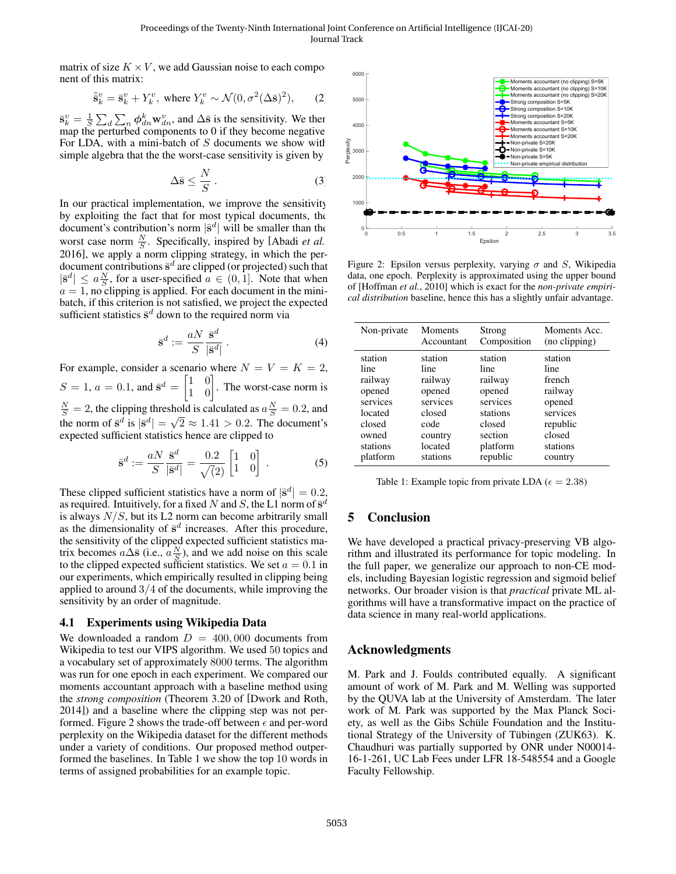matrix of size  $K \times V$ , we add Gaussian noise to each component of this matrix:

$$
\tilde{\mathbf{s}}_k^v = \bar{\mathbf{s}}_k^v + Y_k^v, \text{ where } Y_k^v \sim \mathcal{N}(0, \sigma^2(\Delta \bar{\mathbf{s}})^2), \qquad (2)
$$

 $\bar{\mathbf{s}}_k^v = \frac{1}{S} \sum_d \sum_n \phi_{dn}^k \mathbf{w}_{dn}^v$ , and  $\Delta \bar{\mathbf{s}}$  is the sensitivity. We then map the perturbed components to 0 if they become negative. For LDA, with a mini-batch of  $S$  documents we show with simple algebra that the the worst-case sensitivity is given by

$$
\Delta \bar{\mathbf{s}} \le \frac{N}{S} \,. \tag{3}
$$

In our practical implementation, we improve the sensitivity by exploiting the fact that for most typical documents, the document's contribution's norm  $|\bar{s}^d|$  will be smaller than the worst case norm  $\frac{N}{S}$ . Specifically, inspired by [\[Abadi](#page-4-9) *et al.*) [2016\]](#page-4-9), we apply a norm clipping strategy, in which the perdocument contributions  $\bar{s}^d$  are clipped (or projected) such that  $|\bar{\mathbf{s}}^d| \le a \frac{N}{S}$ , for a user-specified  $a \in (0, 1]$ . Note that when  $a = 1$ , no clipping is applied. For each document in the minibatch, if this criterion is not satisfied, we project the expected sufficient statistics  $\bar{s}^d$  down to the required norm via

$$
\bar{\mathbf{s}}^d := \frac{aN}{S} \frac{\bar{\mathbf{s}}^d}{|\bar{\mathbf{s}}^d|} \,. \tag{4}
$$

For example, consider a scenario where  $N = V = K = 2$ ,  $S = 1, a = 0.1$ , and  $\bar{s}^d = \begin{bmatrix} 1 & 0 \\ 1 & 0 \end{bmatrix}$ . The worst-case norm is  $\frac{N}{S} = 2$ , the clipping threshold is calculated as  $a\frac{N}{S} = 0.2$ , and the norm of  $\bar{s}^d$  is  $|\bar{s}^d| = \sqrt{2} \approx 1.41 > 0.2$ . The document's expected sufficient statistics hence are clipped to

$$
\bar{\mathbf{s}}^d := \frac{aN}{S} \frac{\bar{\mathbf{s}}^d}{|\bar{\mathbf{s}}^d|} = \frac{0.2}{\sqrt{2}} \begin{bmatrix} 1 & 0 \\ 1 & 0 \end{bmatrix} . \tag{5}
$$

These clipped sufficient statistics have a norm of  $|\bar{\mathbf{s}}^d| = 0.2$ , as required. Intuitively, for a fixed N and S, the L1 norm of  $\bar{s}^d$ is always  $N/S$ , but its L2 norm can become arbitrarily small as the dimensionality of  $\bar{s}^d$  increases. After this procedure, the sensitivity of the clipped expected sufficient statistics matrix becomes  $a\Delta\bar{s}$  (i.e.,  $a\frac{N}{S}$ ), and we add noise on this scale to the clipped expected sufficient statistics. We set  $a = 0.1$  in our experiments, which empirically resulted in clipping being applied to around  $3/4$  of the documents, while improving the sensitivity by an order of magnitude.

#### 4.1 Experiments using Wikipedia Data

We downloaded a random  $D = 400,000$  documents from Wikipedia to test our VIPS algorithm. We used 50 topics and a vocabulary set of approximately 8000 terms. The algorithm was run for one epoch in each experiment. We compared our moments accountant approach with a baseline method using the *strong composition* (Theorem 3.20 of [\[Dwork and Roth,](#page-4-6) [2014\]](#page-4-6)) and a baseline where the clipping step was not per-formed. Figure [2](#page-3-0) shows the trade-off between  $\epsilon$  and per-word perplexity on the Wikipedia dataset for the different methods under a variety of conditions. Our proposed method outperformed the baselines. In Table [1](#page-3-1) we show the top 10 words in terms of assigned probabilities for an example topic.

<span id="page-3-0"></span>

Figure 2: Epsilon versus perplexity, varying  $\sigma$  and S, Wikipedia data, one epoch. Perplexity is approximated using the upper bound of [Hoffman *et al.*, 2010] which is exact for the *non-private empirical distribution* baseline, hence this has a slightly unfair advantage.

<span id="page-3-1"></span>

| Non-private | Moments    | Strong      | Moments Acc.  |
|-------------|------------|-------------|---------------|
|             | Accountant | Composition | (no clipping) |
| station     | station    | station     | station       |
| line        | line       | line        | line          |
| railway     | railway    | railway     | french        |
| opened      | opened     | opened      | railway       |
| services    | services   | services    | opened        |
| located     | closed     | stations    | services      |
| closed      | code       | closed      | republic      |
| owned       | country    | section     | closed        |
| stations    | located    | platform    | stations      |
| platform    | stations   | republic    | country       |

Table 1: Example topic from private LDA ( $\epsilon = 2.38$ )

## 5 Conclusion

We have developed a practical privacy-preserving VB algorithm and illustrated its performance for topic modeling. In the full paper, we generalize our approach to non-CE models, including Bayesian logistic regression and sigmoid belief networks. Our broader vision is that *practical* private ML algorithms will have a transformative impact on the practice of data science in many real-world applications.

### Acknowledgments

M. Park and J. Foulds contributed equally. A significant amount of work of M. Park and M. Welling was supported by the QUVA lab at the University of Amsterdam. The later work of M. Park was supported by the Max Planck Society, as well as the Gibs Schüle Foundation and the Institutional Strategy of the University of Tübingen (ZUK63). K. Chaudhuri was partially supported by ONR under N00014- 16-1-261, UC Lab Fees under LFR 18-548554 and a Google Faculty Fellowship.